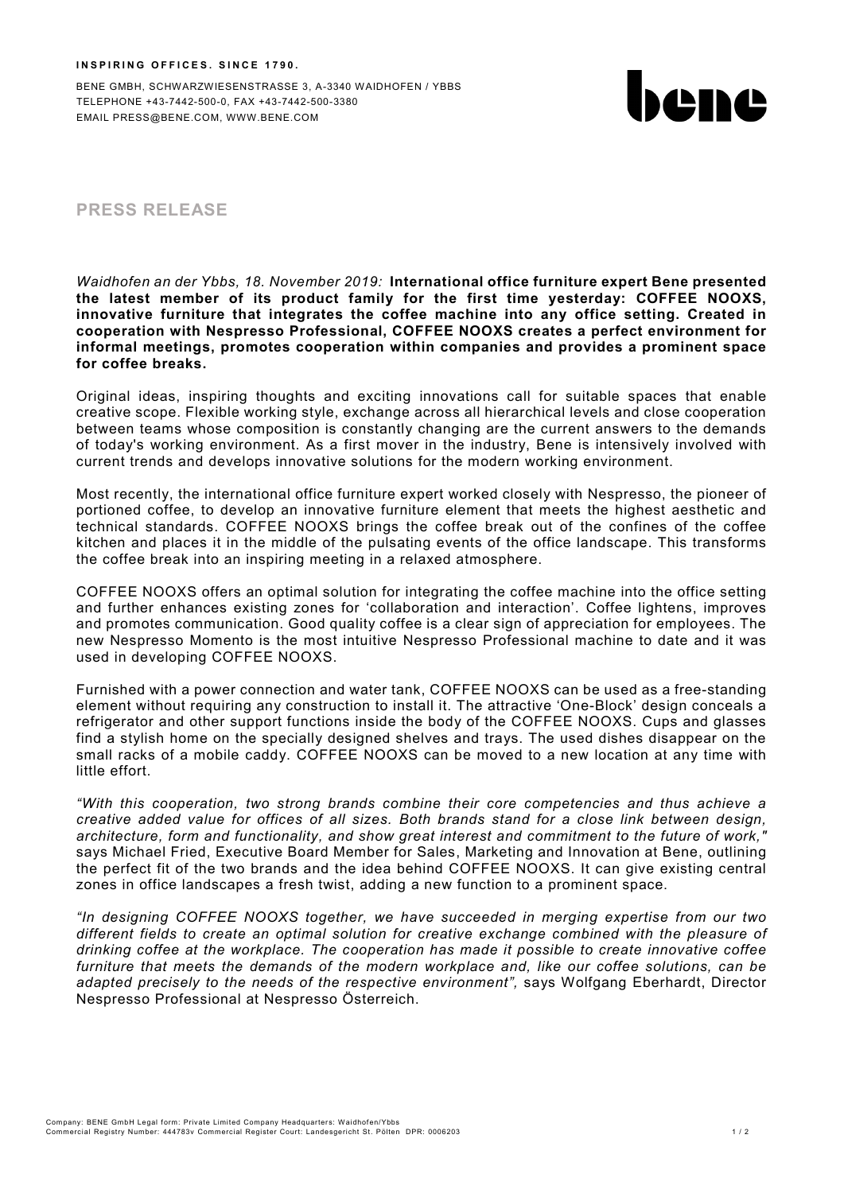BENE GMBH, SCHWARZWIESENSTRASSE 3, A-3340 WAIDHOFEN / YBBS TELEPHONE +43-7442-500-0, FAX +43-7442-500-3380 EMAIL PRESS@BENE.COM, WWW.BENE.COM



# **PRESS RELEASE**

*Waidhofen an der Ybbs, 18. November 2019:* **International office furniture expert Bene presented the latest member of its product family for the first time yesterday: COFFEE NOOXS, innovative furniture that integrates the coffee machine into any office setting. Created in cooperation with Nespresso Professional, COFFEE NOOXS creates a perfect environment for informal meetings, promotes cooperation within companies and provides a prominent space for coffee breaks.**

Original ideas, inspiring thoughts and exciting innovations call for suitable spaces that enable creative scope. Flexible working style, exchange across all hierarchical levels and close cooperation between teams whose composition is constantly changing are the current answers to the demands of today's working environment. As a first mover in the industry, Bene is intensively involved with current trends and develops innovative solutions for the modern working environment.

Most recently, the international office furniture expert worked closely with Nespresso, the pioneer of portioned coffee, to develop an innovative furniture element that meets the highest aesthetic and technical standards. COFFEE NOOXS brings the coffee break out of the confines of the coffee kitchen and places it in the middle of the pulsating events of the office landscape. This transforms the coffee break into an inspiring meeting in a relaxed atmosphere.

COFFEE NOOXS offers an optimal solution for integrating the coffee machine into the office setting and further enhances existing zones for 'collaboration and interaction'. Coffee lightens, improves and promotes communication. Good quality coffee is a clear sign of appreciation for employees. The new Nespresso Momento is the most intuitive Nespresso Professional machine to date and it was used in developing COFFEE NOOXS.

Furnished with a power connection and water tank, COFFEE NOOXS can be used as a free-standing element without requiring any construction to install it. The attractive 'One-Block' design conceals a refrigerator and other support functions inside the body of the COFFEE NOOXS. Cups and glasses find a stylish home on the specially designed shelves and trays. The used dishes disappear on the small racks of a mobile caddy. COFFEE NOOXS can be moved to a new location at any time with little effort.

*"With this cooperation, two strong brands combine their core competencies and thus achieve a creative added value for offices of all sizes. Both brands stand for a close link between design, architecture, form and functionality, and show great interest and commitment to the future of work,"*  says Michael Fried, Executive Board Member for Sales, Marketing and Innovation at Bene, outlining the perfect fit of the two brands and the idea behind COFFEE NOOXS. It can give existing central zones in office landscapes a fresh twist, adding a new function to a prominent space.

*"In designing COFFEE NOOXS together, we have succeeded in merging expertise from our two different fields to create an optimal solution for creative exchange combined with the pleasure of drinking coffee at the workplace. The cooperation has made it possible to create innovative coffee furniture that meets the demands of the modern workplace and, like our coffee solutions, can be adapted precisely to the needs of the respective environment",* says Wolfgang Eberhardt, Director Nespresso Professional at Nespresso Österreich.